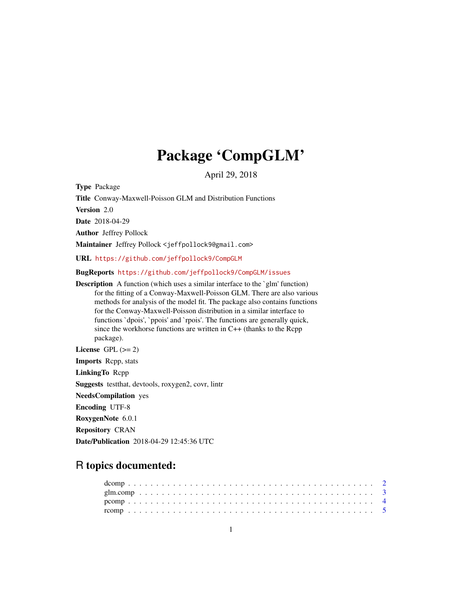# Package 'CompGLM'

April 29, 2018

<span id="page-0-0"></span>Type Package

Title Conway-Maxwell-Poisson GLM and Distribution Functions

Version 2.0

Date 2018-04-29

Author Jeffrey Pollock

Maintainer Jeffrey Pollock <jeffpollock9@gmail.com>

URL <https://github.com/jeffpollock9/CompGLM>

BugReports <https://github.com/jeffpollock9/CompGLM/issues>

**Description** A function (which uses a similar interface to the `glm' function) for the fitting of a Conway-Maxwell-Poisson GLM. There are also various methods for analysis of the model fit. The package also contains functions for the Conway-Maxwell-Poisson distribution in a similar interface to functions `dpois', `ppois' and `rpois'. The functions are generally quick, since the workhorse functions are written in C++ (thanks to the Rcpp package).

License GPL  $(>= 2)$ 

Imports Rcpp, stats

LinkingTo Rcpp

Suggests testthat, devtools, roxygen2, covr, lintr

NeedsCompilation yes

Encoding UTF-8

RoxygenNote 6.0.1

Repository CRAN

Date/Publication 2018-04-29 12:45:36 UTC

# R topics documented: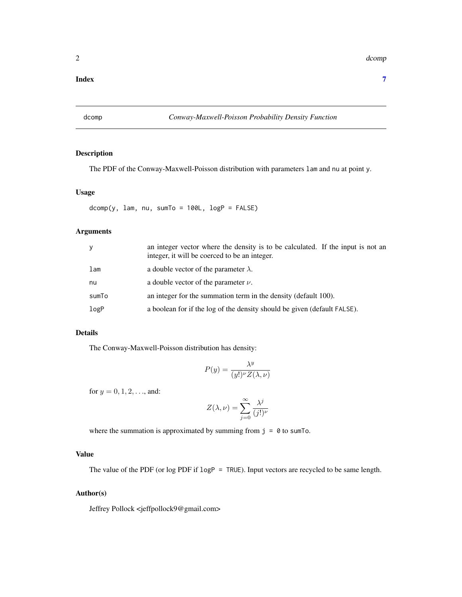#### <span id="page-1-0"></span>**Index** [7](#page-6-0) **7**

# <span id="page-1-1"></span>dcomp *Conway-Maxwell-Poisson Probability Density Function*

## Description

The PDF of the Conway-Maxwell-Poisson distribution with parameters lam and nu at point y.

#### Usage

 $dcomp(y, lam, nu, sumTo = 100L, logP = FALSE)$ 

# Arguments

| y     | an integer vector where the density is to be calculated. If the input is not an<br>integer, it will be coerced to be an integer. |
|-------|----------------------------------------------------------------------------------------------------------------------------------|
| lam   | a double vector of the parameter $\lambda$ .                                                                                     |
| nu    | a double vector of the parameter $\nu$ .                                                                                         |
| sumTo | an integer for the summation term in the density (default 100).                                                                  |
| logP  | a boolean for if the log of the density should be given (default FALSE).                                                         |

# Details

The Conway-Maxwell-Poisson distribution has density:

$$
P(y) = \frac{\lambda^y}{(y!)^{\nu} Z(\lambda, \nu)}
$$

for  $y = 0, 1, 2, \ldots$ , and:

$$
Z(\lambda, \nu) = \sum_{j=0}^{\infty} \frac{\lambda^j}{(j!)^{\nu}}
$$

where the summation is approximated by summing from  $j = 0$  to sum To.

# Value

The value of the PDF (or log PDF if logP = TRUE). Input vectors are recycled to be same length.

#### Author(s)

Jeffrey Pollock <jeffpollock9@gmail.com>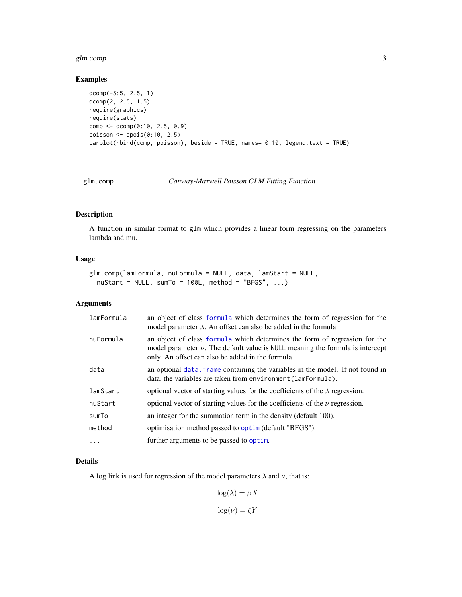#### <span id="page-2-0"></span>glm.comp 3

# Examples

```
dcomp(-5:5, 2.5, 1)
dcomp(2, 2.5, 1.5)
require(graphics)
require(stats)
comp <- dcomp(0:10, 2.5, 0.9)
poisson <- dpois(0:10, 2.5)
barplot(rbind(comp, poisson), beside = TRUE, names= 0:10, legend.text = TRUE)
```
glm.comp *Conway-Maxwell Poisson GLM Fitting Function*

# Description

A function in similar format to glm which provides a linear form regressing on the parameters lambda and mu.

#### Usage

```
glm.comp(lamFormula, nuFormula = NULL, data, lamStart = NULL,
  nuStart = NULL, sumTo = 100L, method = "BFGS", ...)
```
#### Arguments

| lamFormula | an object of class formula which determines the form of regression for the<br>model parameter $\lambda$ . An offset can also be added in the formula.                                                                 |
|------------|-----------------------------------------------------------------------------------------------------------------------------------------------------------------------------------------------------------------------|
| nuFormula  | an object of class formula which determines the form of regression for the<br>model parameter $\nu$ . The default value is NULL meaning the formula is intercept<br>only. An offset can also be added in the formula. |
| data       | an optional data. frame containing the variables in the model. If not found in<br>data, the variables are taken from environment (lamFormula).                                                                        |
| lamStart   | optional vector of starting values for the coefficients of the $\lambda$ regression.                                                                                                                                  |
| nuStart    | optional vector of starting values for the coefficients of the $\nu$ regression.                                                                                                                                      |
| sumTo      | an integer for the summation term in the density (default 100).                                                                                                                                                       |
| method     | optimisation method passed to optim (default "BFGS").                                                                                                                                                                 |
| .          | further arguments to be passed to optim.                                                                                                                                                                              |

#### Details

A log link is used for regression of the model parameters  $\lambda$  and  $\nu$ , that is:

$$
\log(\lambda)=\beta X
$$

 $log(\nu) = \zeta Y$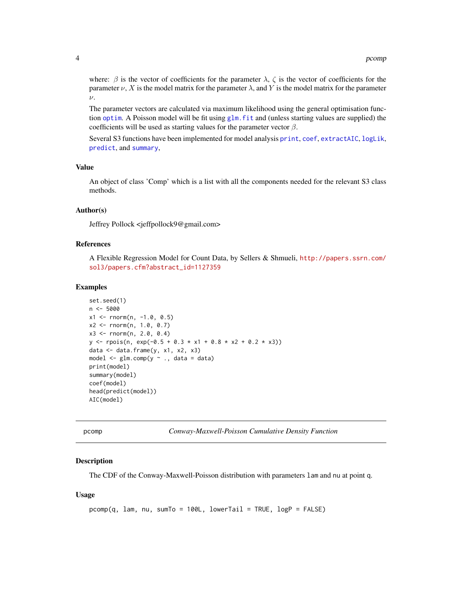<span id="page-3-0"></span>where:  $\beta$  is the vector of coefficients for the parameter  $\lambda$ ,  $\zeta$  is the vector of coefficients for the parameter  $\nu$ , X is the model matrix for the parameter  $\lambda$ , and Y is the model matrix for the parameter  $\nu$ .

The parameter vectors are calculated via maximum likelihood using the general optimisation function [optim](#page-0-0). A Poisson model will be fit using [glm.fit](#page-0-0) and (unless starting values are supplied) the coefficients will be used as starting values for the parameter vector  $\beta$ .

Several S3 functions have been implemented for model analysis [print](#page-0-0), [coef](#page-0-0), [extractAIC](#page-0-0), [logLik](#page-0-0), [predict](#page-0-0), and [summary](#page-0-0),

# Value

An object of class 'Comp' which is a list with all the components needed for the relevant S3 class methods.

#### Author(s)

Jeffrey Pollock <jeffpollock9@gmail.com>

# References

A Flexible Regression Model for Count Data, by Sellers & Shmueli, [http://papers.ssrn.com/](http://papers.ssrn.com/sol3/papers.cfm?abstract_id=1127359) [sol3/papers.cfm?abstract\\_id=1127359](http://papers.ssrn.com/sol3/papers.cfm?abstract_id=1127359)

#### Examples

```
set.seed(1)
n < -5000x1 \le rnorm(n, -1.0, 0.5)
x2 \le rnorm(n, 1.0, 0.7)
x3 <- rnorm(n, 2.0, 0.4)
y \leq rpois(n, exp(-0.5 + 0.3 * x1 + 0.8 * x2 + 0.2 * x3))
data \leq data.frame(y, x1, x2, x3)
model \leq glm.comp(y \sim ., data = data)
print(model)
summary(model)
coef(model)
head(predict(model))
AIC(model)
```
pcomp *Conway-Maxwell-Poisson Cumulative Density Function*

#### **Description**

The CDF of the Conway-Maxwell-Poisson distribution with parameters lam and nu at point q.

#### Usage

```
pcomp(q, lam, nu, sumTo = 100L, lowerTail = TRUE, logP = FALSE)
```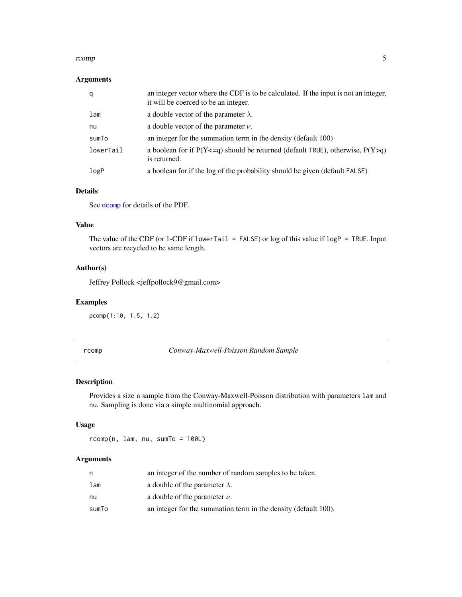#### <span id="page-4-0"></span>rcomp 5

# Arguments

| q         | an integer vector where the CDF is to be calculated. If the input is not an integer,<br>it will be coerced to be an integer. |
|-----------|------------------------------------------------------------------------------------------------------------------------------|
| lam       | a double vector of the parameter $\lambda$ .                                                                                 |
| nu        | a double vector of the parameter $\nu$ .                                                                                     |
| sumTo     | an integer for the summation term in the density (default 100)                                                               |
| lowerTail | a boolean for if $P(Y \leq q)$ should be returned (default TRUE), otherwise, $P(Y > q)$<br>is returned.                      |
| logP      | a boolean for if the log of the probability should be given (default FALSE)                                                  |

# Details

See [dcomp](#page-1-1) for details of the PDF.

#### Value

The value of the CDF (or 1-CDF if lowerTail = FALSE) or log of this value if  $\text{logP} = \text{TRUE}$ . Input vectors are recycled to be same length.

#### Author(s)

Jeffrey Pollock <jeffpollock9@gmail.com>

# Examples

pcomp(1:10, 1.5, 1.2)

rcomp *Conway-Maxwell-Poisson Random Sample*

# Description

Provides a size n sample from the Conway-Maxwell-Poisson distribution with parameters lam and nu. Sampling is done via a simple multinomial approach.

## Usage

rcomp(n, lam, nu, sumTo = 100L)

# Arguments

| n     | an integer of the number of random samples to be taken.         |
|-------|-----------------------------------------------------------------|
| lam   | a double of the parameter $\lambda$ .                           |
| nu    | a double of the parameter $\nu$ .                               |
| sumTo | an integer for the summation term in the density (default 100). |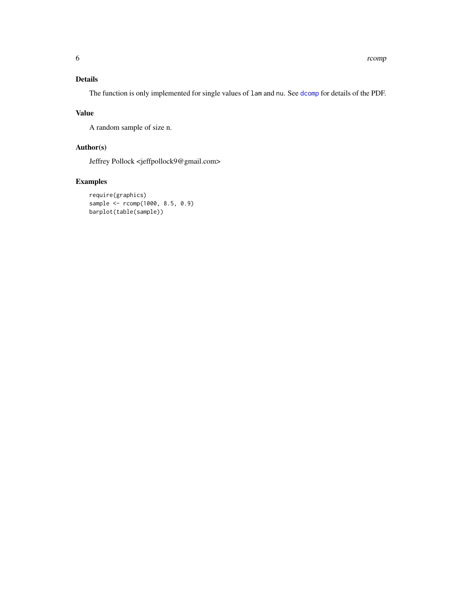# <span id="page-5-0"></span>Details

The function is only implemented for single values of  $l$ am and nu. See [dcomp](#page-1-1) for details of the PDF.

#### Value

A random sample of size n.

# Author(s)

Jeffrey Pollock <jeffpollock9@gmail.com>

# Examples

```
require(graphics)
sample <- rcomp(1000, 8.5, 0.9)
barplot(table(sample))
```